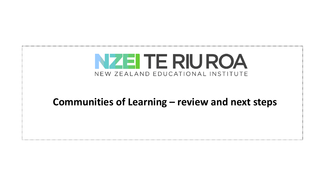

#### **Communities of Learning – review and next steps**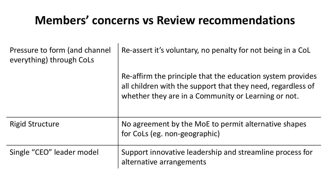# **Members' concerns vs Review recommendations**

| Pressure to form (and channel<br>everything) through CoLs | Re-assert it's voluntary, no penalty for not being in a CoL                                                                                                                      |
|-----------------------------------------------------------|----------------------------------------------------------------------------------------------------------------------------------------------------------------------------------|
|                                                           | Re-affirm the principle that the education system provides<br>all children with the support that they need, regardless of<br>whether they are in a Community or Learning or not. |
| <b>Rigid Structure</b>                                    | No agreement by the MoE to permit alternative shapes<br>for CoLs (eg. non-geographic)                                                                                            |
| Single "CEO" leader model                                 | Support innovative leadership and streamline process for<br>alternative arrangements                                                                                             |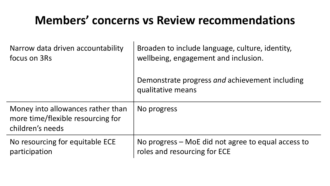# **Members' concerns vs Review recommendations**

| Narrow data driven accountability                                                          | Broaden to include language, culture, identity,                     |
|--------------------------------------------------------------------------------------------|---------------------------------------------------------------------|
| focus on 3Rs                                                                               | wellbeing, engagement and inclusion.                                |
|                                                                                            | Demonstrate progress and achievement including<br>qualitative means |
| Money into allowances rather than<br>more time/flexible resourcing for<br>children's needs | No progress                                                         |
| No resourcing for equitable ECE                                                            | No progress – MoE did not agree to equal access to                  |
| participation                                                                              | roles and resourcing for ECE                                        |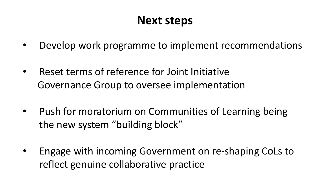# **Next steps**

- Develop work programme to implement recommendations
- Reset terms of reference for Joint Initiative Governance Group to oversee implementation
- Push for moratorium on Communities of Learning being the new system "building block"
- Engage with incoming Government on re-shaping CoLs to reflect genuine collaborative practice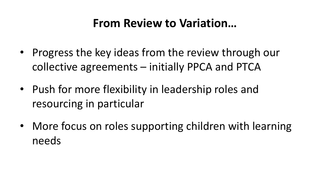### **From Review to Variation...**

- Progress the key ideas from the review through our collective agreements  $-$  initially PPCA and PTCA
- Push for more flexibility in leadership roles and resourcing in particular
- More focus on roles supporting children with learning needs